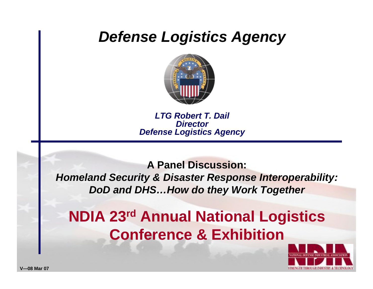## *Defense Logistics Agency*



*LTG Robert T. Dail DirectorDefense Logistics Agency*

**A Panel Discussion:***Homeland Security & Disaster Response Interoperability: DoD and DHS…How do they Work Together*

## **NDIA 23rd Annual National Logistics Conference & Exhibition**

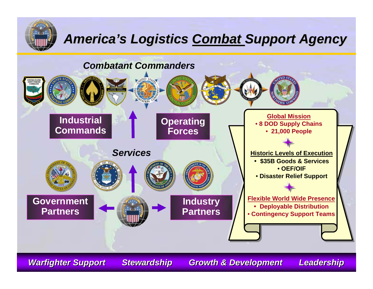

## **America's Logistics Combat Support Agency**



*Warfighter Support Stewardship Growth & Development* 

Leadership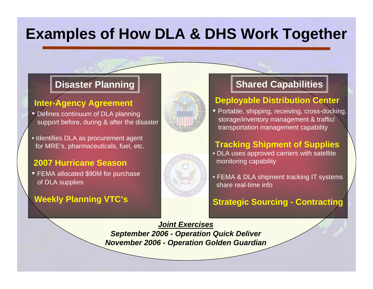## **Examples of How DLA & DHS Work Together**

#### **Inter-Agency Agreement**

- Defines continuum of DLA planning support before, during & after the disaster
- Identifies DLA as procurement agent for MRE's, pharmaceuticals, fuel, etc.

#### **2007 Hurricane Season**

• FEM A allocated \$90M for purchase of DLA supplies

#### **Weekly Planning VTC's**





### **Disaster Planning Shared Capabilities**

#### **Deployable Distribution Center**

• Portable, shipping, receiving, cross-docking, storage/inventory management & traffic/ transportation manage ment capability

#### **Tracking Shipment of Supplies**

- DLA uses approved carriers with satellite monitoring capability
- FEMA & DLA shipment tracking IT systems share real-time info

#### **Strategic Sourcing - Contracting**

*Joint Exercises September 2006 - Operation Q uick Deliver November 2006 - Operation G olden G uardian*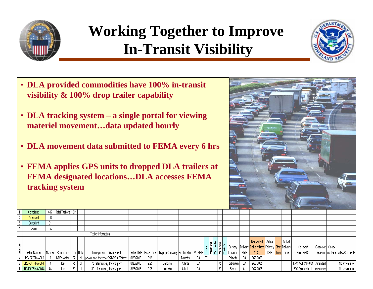

التمدان بالعبيجان حيما

# **Working Together to Improve In-Transit Visibility**



- **DLA provided commodities have 100% in-transit visibility & 100% drop trailer capability**
- **DLA tracking system – a single portal for viewing materiel movement…data updated hourly**
- **DLA movement data submitted to FEMA every 6 hrs**
- **FEMA applies GPS units to dropped DLA trailers at FEMA designated locations…DLA accesses FEMA tracking system**



|                    | <b>Completen</b> | <b>U16</b> | IUL OI I OISKUIS I IU I I |                   |     |                                       |           |      |                                                                                                            |          |    |                                  |    |             |       |                                                                    |                  |        |                             |                    |                                    |
|--------------------|------------------|------------|---------------------------|-------------------|-----|---------------------------------------|-----------|------|------------------------------------------------------------------------------------------------------------|----------|----|----------------------------------|----|-------------|-------|--------------------------------------------------------------------|------------------|--------|-----------------------------|--------------------|------------------------------------|
|                    | Amended          | 153        |                           |                   |     |                                       |           |      |                                                                                                            |          |    |                                  |    |             |       |                                                                    |                  |        |                             |                    |                                    |
|                    | Cancelled        | 91         |                           |                   |     |                                       |           |      |                                                                                                            |          |    |                                  |    |             |       |                                                                    |                  |        |                             |                    |                                    |
|                    | Open             | 150        |                           |                   |     |                                       |           |      |                                                                                                            |          |    |                                  |    |             |       |                                                                    |                  |        |                             |                    |                                    |
| Tasker Information |                  |            |                           |                   |     |                                       |           |      |                                                                                                            |          |    |                                  |    |             |       |                                                                    |                  |        |                             |                    |                                    |
|                    |                  |            |                           |                   |     |                                       |           |      |                                                                                                            |          |    | $\frac{1}{\sqrt{1+\frac{1}{2}}}$ |    | Delivery    |       | Requested Actual<br>Delivery Delivery Date Delivery Start Delivery |                  | Actual | Close-out                   | Close-out   Close- |                                    |
|                    | Tasker Number    | Number     | Commodity   QTY   Units   |                   |     | Transportation Requirement            |           |      | Tasker Date   Tasker Time   Shipping Company   PAU Location   PAU State   뿔   훝   룹   룹   급   j ] Location |          |    |                                  |    |             | State | (RDD)                                                              | Date <b>Time</b> | Time   | Source/POC                  |                    | Reason   out Date   Notes/Comments |
|                    | LRC-KATRINA-003  |            | MREs/Water                | 97                | trl | power and driver for 35 MRE, 62 Water | 8/25/2005 | 9:15 |                                                                                                            | Palmetto | GА |                                  |    | Palmetto    | GA.   | 8/26/2005                                                          |                  |        |                             |                    |                                    |
|                    | LRC-KATRINA-004  |            | lce                       | <b>THE</b><br>75. |     | 75 refer trucks, drivers, pwr         | 8/25/2005 | 9:25 | Landstar                                                                                                   | Atlanta  | GА |                                  | 75 | Fort Gillem |       | 9/26/2005                                                          |                  |        | LRC-KATRINA-004   Amended   |                    | No arrival Info                    |
|                    | LRC-KATRINA-004A |            | lce                       | 90.<br>JU         |     | 30 refer trucks, drivers, pwr         | 8/25/2005 | 9.25 | Landstar                                                                                                   | Atlanta  | GА |                                  | 30 | Selma       |       | 9/27/2005                                                          |                  |        | ETC Spreadsheet   completed |                    | No arrival Info                    |